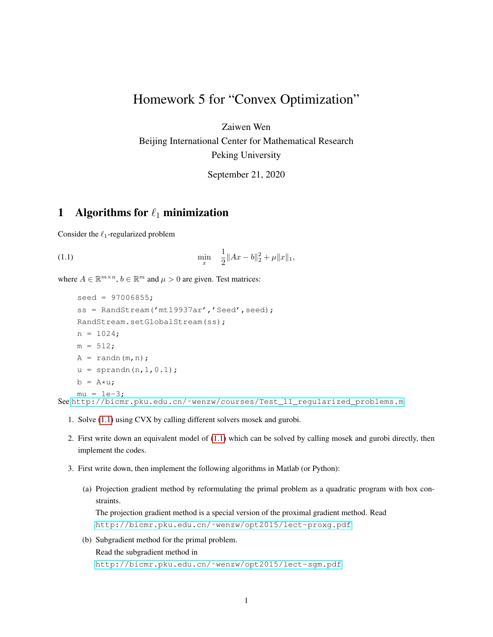## Homework 5 for "Convex Optimization"

Zaiwen Wen

Beijing International Center for Mathematical Research Peking University

<span id="page-0-0"></span>September 21, 2020

## 1 Algorithms for  $\ell_1$  minimization

Consider the  $\ell_1$ -regularized problem

(1.1) 
$$
\min_{x} \quad \frac{1}{2} \|Ax - b\|_2^2 + \mu \|x\|_1,
$$

where  $A \in \mathbb{R}^{m \times n}$ ,  $b \in \mathbb{R}^m$  and  $\mu > 0$  are given. Test matrices:

```
seed = 97006855;ss = RandStream('mt19937ar','Seed', seed);
RandStream.setGlobalStream(ss);
n = 1024;m = 512;A = \text{randn}(m,n);u = sprandn(n, 1, 0.1);
b = A \star u;mu = 1e-3;See http://bicmr.pku.edu.cn/˜wenzw/courses/Test_l1_regularized_problems.m
```
- 1. Solve [\(1.1\)](#page-0-0) using CVX by calling different solvers mosek and gurobi.
- 2. First write down an equivalent model of [\(1.1\)](#page-0-0) which can be solved by calling mosek and gurobi directly, then implement the codes.
- 3. First write down, then implement the following algorithms in Matlab (or Python):
	- (a) Projection gradient method by reformulating the primal problem as a quadratic program with box constraints. The projection gradient method is a special version of the proximal gradient method. Read [http://bicmr.pku.edu.cn/˜wenzw/opt2015/lect-proxg.pdf](http://bicmr.pku.edu.cn/~wenzw/opt2015/lect-proxg.pdf)
	- (b) Subgradient method for the primal problem. Read the subgradient method in [http://bicmr.pku.edu.cn/˜wenzw/opt2015/lect-sgm.pdf](http://bicmr.pku.edu.cn/~wenzw/opt2015/lect-sgm.pdf)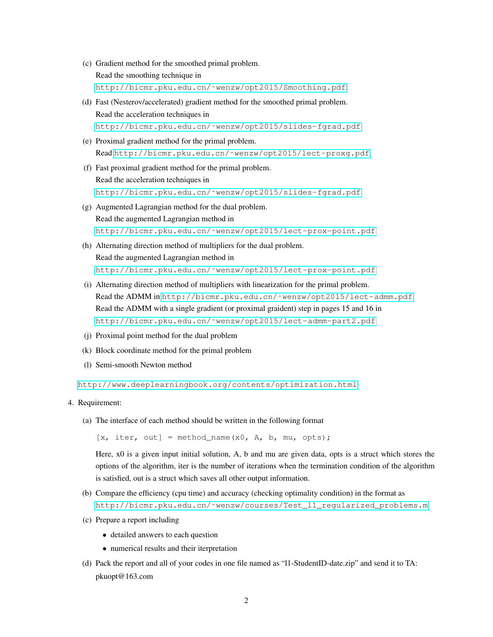- (c) Gradient method for the smoothed primal problem. Read the smoothing technique in [http://bicmr.pku.edu.cn/˜wenzw/opt2015/Smoothing.pdf](http://bicmr.pku.edu.cn/~wenzw/opt2015/Smoothing.pdf)
- (d) Fast (Nesterov/accelerated) gradient method for the smoothed primal problem. Read the acceleration techniques in [http://bicmr.pku.edu.cn/˜wenzw/opt2015/slides-fgrad.pdf](http://bicmr.pku.edu.cn/~wenzw/opt2015/slides-fgrad.pdf)
- (e) Proximal gradient method for the primal problem. Read [http://bicmr.pku.edu.cn/˜wenzw/opt2015/lect-proxg.pdf](http://bicmr.pku.edu.cn/~wenzw/opt2015/lect-proxg.pdf)
- (f) Fast proximal gradient method for the primal problem. Read the acceleration techniques in [http://bicmr.pku.edu.cn/˜wenzw/opt2015/slides-fgrad.pdf](http://bicmr.pku.edu.cn/~wenzw/opt2015/slides-fgrad.pdf)
- (g) Augmented Lagrangian method for the dual problem. Read the augmented Lagrangian method in [http://bicmr.pku.edu.cn/˜wenzw/opt2015/lect-prox-point.pdf](http://bicmr.pku.edu.cn/~wenzw/opt2015/lect-prox-point.pdf)
- (h) Alternating direction method of multipliers for the dual problem. Read the augmented Lagrangian method in [http://bicmr.pku.edu.cn/˜wenzw/opt2015/lect-prox-point.pdf](http://bicmr.pku.edu.cn/~wenzw/opt2015/lect-prox-point.pdf)
- (i) Alternating direction method of multipliers with linearization for the primal problem. Read the ADMM in [http://bicmr.pku.edu.cn/˜wenzw/opt2015/lect-admm.pdf](http://bicmr.pku.edu.cn/~wenzw/opt2015/lect-admm.pdf). Read the ADMM with a single gradient (or proximal graident) step in pages 15 and 16 in [http://bicmr.pku.edu.cn/˜wenzw/opt2015/lect-admm-part2.pdf](http://bicmr.pku.edu.cn/~wenzw/opt2015/lect-admm-part2.pdf)
- (j) Proximal point method for the dual problem
- (k) Block coordinate method for the primal problem
- (l) Semi-smooth Newton method

<http://www.deeplearningbook.org/contents/optimization.html>

## 4. Requirement:

(a) The interface of each method should be written in the following format

 $[x, iter, out] = method_name(x0, A, b, mu, opts);$ 

Here, x0 is a given input initial solution, A, b and mu are given data, opts is a struct which stores the options of the algorithm, iter is the number of iterations when the termination condition of the algorithm is satisfied, out is a struct which saves all other output information.

- (b) Compare the efficiency (cpu time) and accuracy (checking optimality condition) in the format as [http://bicmr.pku.edu.cn/˜wenzw/courses/Test\\_l1\\_regularized\\_problems.m](http://bicmr.pku.edu.cn/~wenzw/courses/Test_l1_regularized_problems.m)
- (c) Prepare a report including
	- detailed answers to each question
	- numerical results and their iterpretation
- (d) Pack the report and all of your codes in one file named as "l1-StudentID-date.zip" and send it to TA: pkuopt@163.com